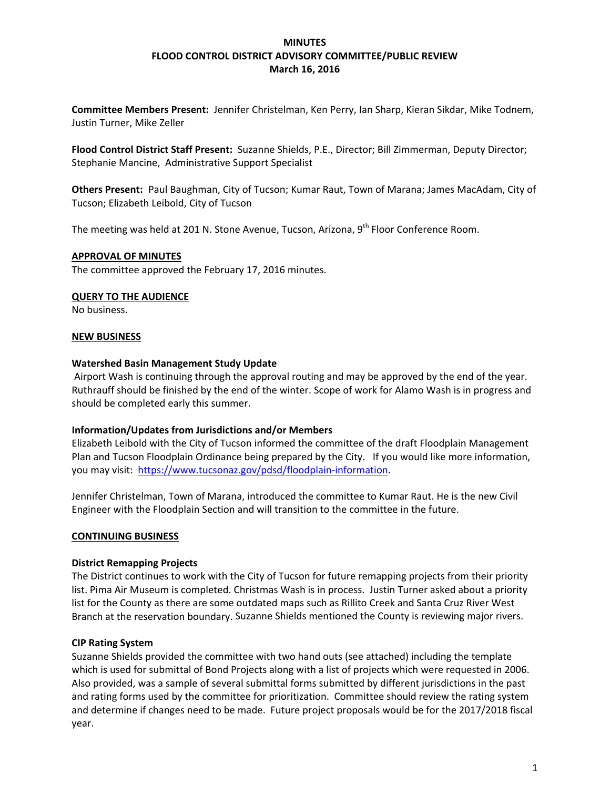## **MINUTES FLOOD CONTROL DISTRICT ADVISORY COMMITTEE/PUBLIC REVIEW March 16, 2016**

**Committee Members Present:** Jennifer Christelman, Ken Perry, Ian Sharp, Kieran Sikdar, Mike Todnem, Justin Turner, Mike Zeller

**Flood Control District Staff Present:** Suzanne Shields, P.E., Director; Bill Zimmerman, Deputy Director; Stephanie Mancine, Administrative Support Specialist

**Others Present:** Paul Baughman, City of Tucson; Kumar Raut, Town of Marana; James MacAdam, City of Tucson; Elizabeth Leibold, City of Tucson

The meeting was held at 201 N. Stone Avenue, Tucson, Arizona, 9<sup>th</sup> Floor Conference Room.

### **APPROVAL OF MINUTES**

The committee approved the February 17, 2016 minutes.

## **QUERY TO THE AUDIENCE**

No business.

## **NEW BUSINESS**

### **Watershed Basin Management Study Update**

Airport Wash is continuing through the approval routing and may be approved by the end of the year. Ruthrauff should be finished by the end of the winter. Scope of work for Alamo Wash is in progress and should be completed early this summer.

### **Information/Updates from Jurisdictions and/or Members**

Elizabeth Leibold with the City of Tucson informed the committee of the draft Floodplain Management Plan and Tucson Floodplain Ordinance being prepared by the City. If you would like more information, you may visit: https://www.tucsonaz.gov/pdsd/floodplain-information.

Jennifer Christelman, Town of Marana, introduced the committee to Kumar Raut. He is the new Civil Engineer with the Floodplain Section and will transition to the committee in the future.

### **CONTINUING BUSINESS**

### **District Remapping Projects**

The District continues to work with the City of Tucson for future remapping projects from their priority list. Pima Air Museum is completed. Christmas Wash is in process. Justin Turner asked about a priority list for the County as there are some outdated maps such as Rillito Creek and Santa Cruz River West Branch at the reservation boundary. Suzanne Shields mentioned the County is reviewing major rivers.

### **CIP Rating System**

Suzanne Shields provided the committee with two hand outs (see attached) including the template which is used for submittal of Bond Projects along with a list of projects which were requested in 2006. Also provided, was a sample of several submittal forms submitted by different jurisdictions in the past and rating forms used by the committee for prioritization. Committee should review the rating system and determine if changes need to be made. Future project proposals would be for the 2017/2018 fiscal year.